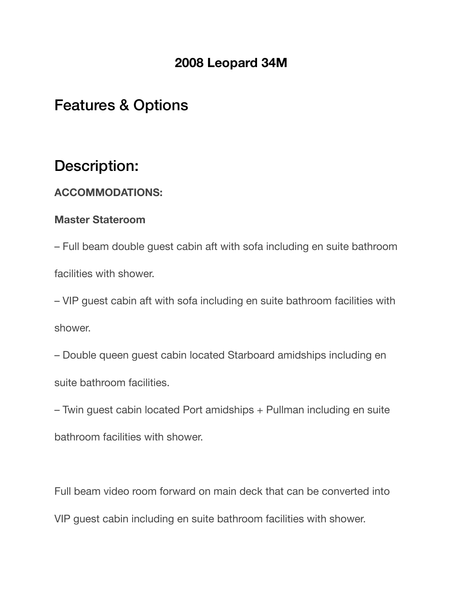# **2008 Leopard 34M**

# Features & Options

# Description:

#### **ACCOMMODATIONS:**

#### **Master Stateroom**

– Full beam double guest cabin aft with sofa including en suite bathroom facilities with shower.

– VIP guest cabin aft with sofa including en suite bathroom facilities with shower.

– Double queen guest cabin located Starboard amidships including en suite bathroom facilities.

– Twin guest cabin located Port amidships + Pullman including en suite bathroom facilities with shower.

Full beam video room forward on main deck that can be converted into VIP guest cabin including en suite bathroom facilities with shower.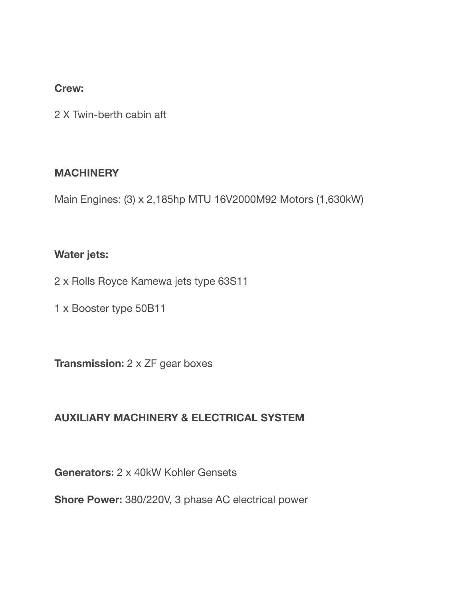#### **Crew:**

2 X Twin-berth cabin aft

#### **MACHINERY**

Main Engines: (3) x 2,185hp MTU 16V2000M92 Motors (1,630kW)

#### **Water jets:**

2 x Rolls Royce Kamewa jets type 63S11

1 x Booster type 50B11

**Transmission:** 2 x ZF gear boxes

## **AUXILIARY MACHINERY & ELECTRICAL SYSTEM**

**Generators:** 2 x 40kW Kohler Gensets

**Shore Power:** 380/220V, 3 phase AC electrical power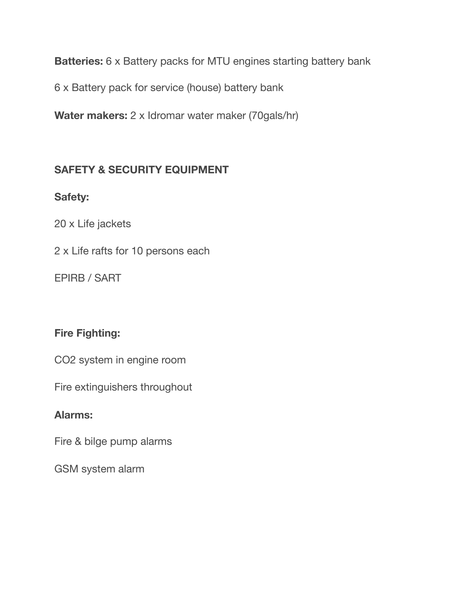**Batteries:** 6 x Battery packs for MTU engines starting battery bank

6 x Battery pack for service (house) battery bank

**Water makers:** 2 x Idromar water maker (70gals/hr)

## **SAFETY & SECURITY EQUIPMENT**

## **Safety:**

20 x Life jackets

2 x Life rafts for 10 persons each

EPIRB / SART

## **Fire Fighting:**

CO2 system in engine room

Fire extinguishers throughout

#### **Alarms:**

Fire & bilge pump alarms

GSM system alarm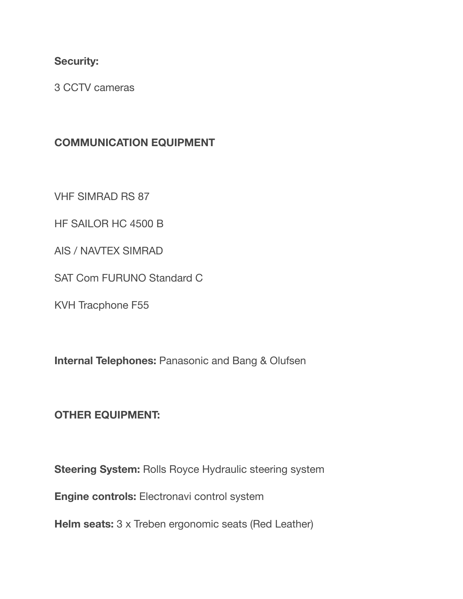#### **Security:**

3 CCTV cameras

## **COMMUNICATION EQUIPMENT**

VHF SIMRAD RS 87

HF SAILOR HC 4500 B

AIS / NAVTEX SIMRAD

SAT Com FURUNO Standard C

KVH Tracphone F55

**Internal Telephones:** Panasonic and Bang & Olufsen

## **OTHER EQUIPMENT:**

**Steering System:** Rolls Royce Hydraulic steering system

**Engine controls:** Electronavi control system

**Helm seats:** 3 x Treben ergonomic seats (Red Leather)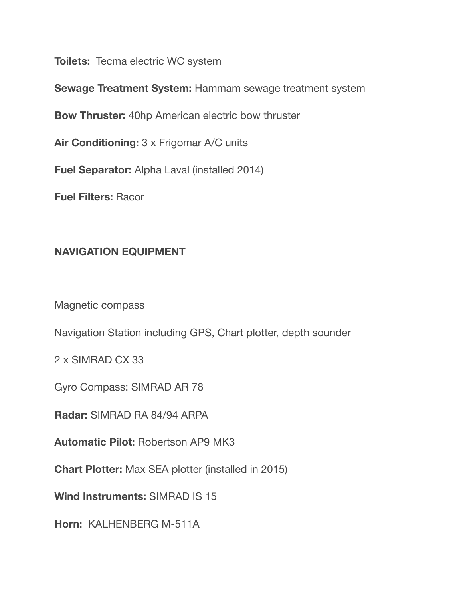**Toilets:** Tecma electric WC system

**Sewage Treatment System:** Hammam sewage treatment system

**Bow Thruster:** 40hp American electric bow thruster

**Air Conditioning:** 3 x Frigomar A/C units

**Fuel Separator:** Alpha Laval (installed 2014)

**Fuel Filters:** Racor

## **NAVIGATION EQUIPMENT**

Magnetic compass

Navigation Station including GPS, Chart plotter, depth sounder

2 x SIMRAD CX 33

Gyro Compass: SIMRAD AR 78

**Radar:** SIMRAD RA 84/94 ARPA

**Automatic Pilot:** Robertson AP9 MK3

**Chart Plotter:** Max SEA plotter (installed in 2015)

**Wind Instruments:** SIMRAD IS 15

**Horn:** KALHENBERG M-511A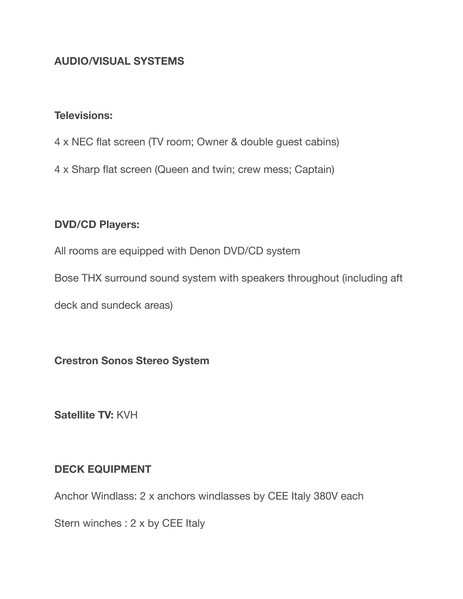## **AUDIO/VISUAL SYSTEMS**

#### **Televisions:**

- 4 x NEC flat screen (TV room; Owner & double guest cabins)
- 4 x Sharp flat screen (Queen and twin; crew mess; Captain)

#### **DVD/CD Players:**

All rooms are equipped with Denon DVD/CD system

Bose THX surround sound system with speakers throughout (including aft

deck and sundeck areas)

**Crestron Sonos Stereo System** 

**Satellite TV:** KVH

#### **DECK EQUIPMENT**

Anchor Windlass: 2 x anchors windlasses by CEE Italy 380V each

Stern winches : 2 x by CEE Italy